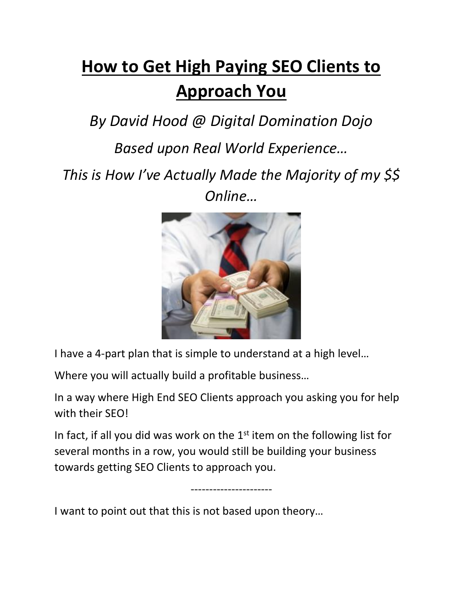## **How to Get High Paying SEO Clients to Approach You**

*By David Hood @ Digital Domination Dojo* 

*Based upon Real World Experience…*

*This is How I've Actually Made the Majority of my \$\$ Online…*



I have a 4-part plan that is simple to understand at a high level…

Where you will actually build a profitable business…

In a way where High End SEO Clients approach you asking you for help with their SEO!

In fact, if all you did was work on the 1<sup>st</sup> item on the following list for several months in a row, you would still be building your business towards getting SEO Clients to approach you.

----------------------

I want to point out that this is not based upon theory…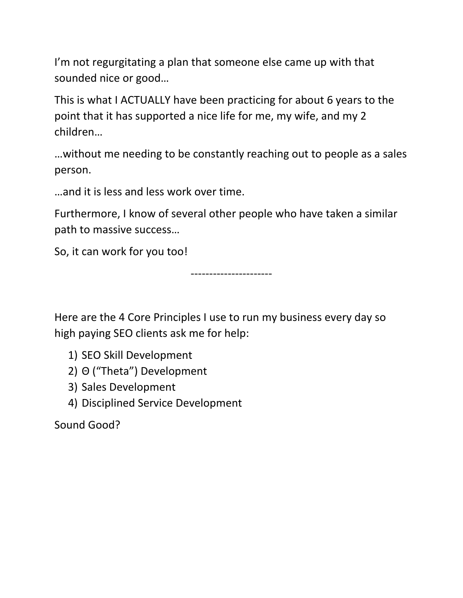I'm not regurgitating a plan that someone else came up with that sounded nice or good…

This is what I ACTUALLY have been practicing for about 6 years to the point that it has supported a nice life for me, my wife, and my 2 children…

…without me needing to be constantly reaching out to people as a sales person.

…and it is less and less work over time.

Furthermore, I know of several other people who have taken a similar path to massive success…

So, it can work for you too!

----------------------

Here are the 4 Core Principles I use to run my business every day so high paying SEO clients ask me for help:

- 1) SEO Skill Development
- 2) Θ ("Theta") Development
- 3) Sales Development
- 4) Disciplined Service Development

Sound Good?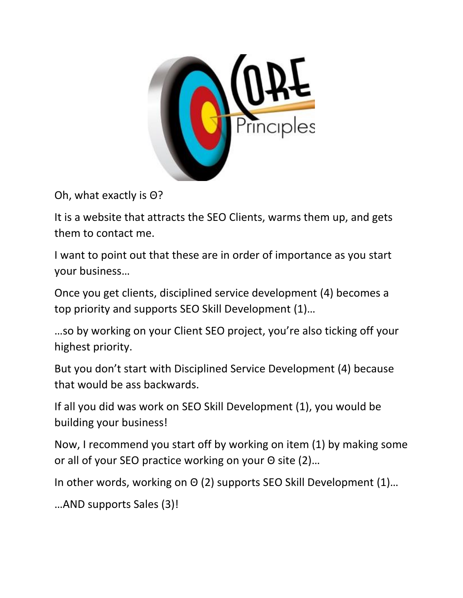

Oh, what exactly is Θ?

It is a website that attracts the SEO Clients, warms them up, and gets them to contact me.

I want to point out that these are in order of importance as you start your business…

Once you get clients, disciplined service development (4) becomes a top priority and supports SEO Skill Development (1)…

…so by working on your Client SEO project, you're also ticking off your highest priority.

But you don't start with Disciplined Service Development (4) because that would be ass backwards.

If all you did was work on SEO Skill Development (1), you would be building your business!

Now, I recommend you start off by working on item (1) by making some or all of your SEO practice working on your Θ site (2)…

In other words, working on Θ (2) supports SEO Skill Development (1)…

…AND supports Sales (3)!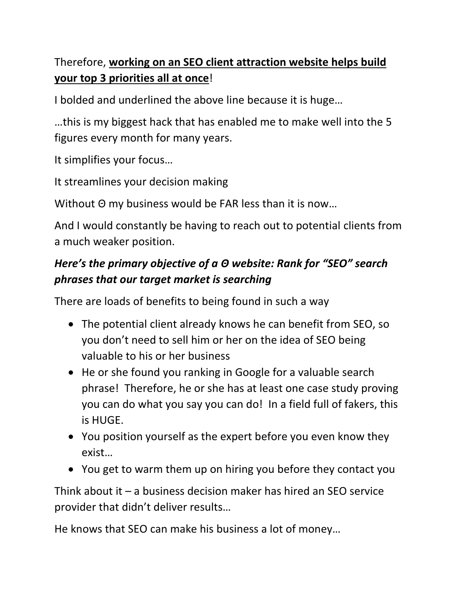## Therefore, **working on an SEO client attraction website helps build your top 3 priorities all at once**!

I bolded and underlined the above line because it is huge…

…this is my biggest hack that has enabled me to make well into the 5 figures every month for many years.

It simplifies your focus…

It streamlines your decision making

Without Θ my business would be FAR less than it is now…

And I would constantly be having to reach out to potential clients from a much weaker position.

## *Here's the primary objective of a Θ website: Rank for "SEO" search phrases that our target market is searching*

There are loads of benefits to being found in such a way

- The potential client already knows he can benefit from SEO, so you don't need to sell him or her on the idea of SEO being valuable to his or her business
- He or she found you ranking in Google for a valuable search phrase! Therefore, he or she has at least one case study proving you can do what you say you can do! In a field full of fakers, this is HUGE.
- You position yourself as the expert before you even know they exist…
- You get to warm them up on hiring you before they contact you

Think about it – a business decision maker has hired an SEO service provider that didn't deliver results…

He knows that SEO can make his business a lot of money…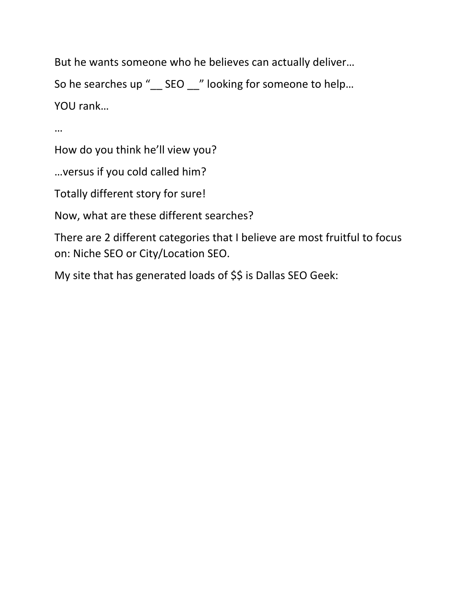But he wants someone who he believes can actually deliver…

So he searches up "\_\_ SEO \_\_" looking for someone to help... YOU rank…

…

How do you think he'll view you?

…versus if you cold called him?

Totally different story for sure!

Now, what are these different searches?

There are 2 different categories that I believe are most fruitful to focus on: Niche SEO or City/Location SEO.

My site that has generated loads of \$\$ is Dallas SEO Geek: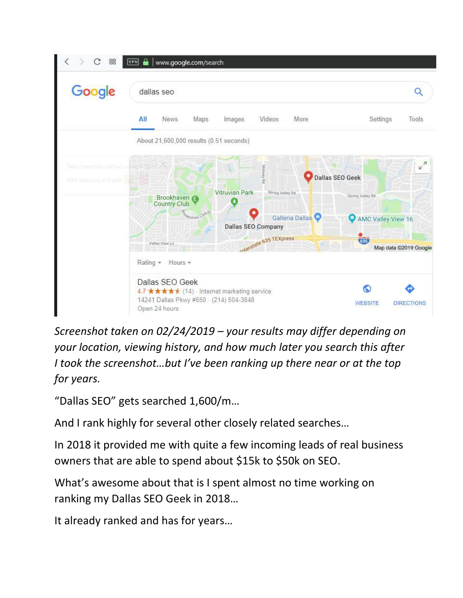

*Screenshot taken on 02/24/2019 – your results may differ depending on your location, viewing history, and how much later you search this after I took the screenshot…but I've been ranking up there near or at the top for years.* 

"Dallas SEO" gets searched 1,600/m…

And I rank highly for several other closely related searches…

In 2018 it provided me with quite a few incoming leads of real business owners that are able to spend about \$15k to \$50k on SEO.

What's awesome about that is I spent almost no time working on ranking my Dallas SEO Geek in 2018…

It already ranked and has for years…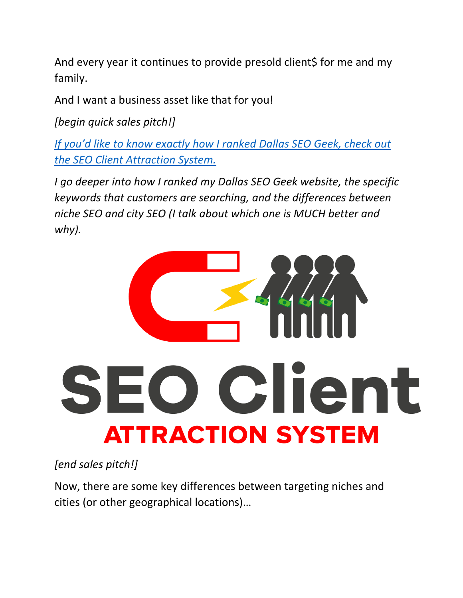And every year it continues to provide presold client\$ for me and my family.

And I want a business asset like that for you!

*[begin quick sales pitch!]*

*[If you'd like to know exactly how I ranked Dallas SEO Geek, check out](https://digitaldominationdojo.com/seo-client-attraction-system/)  [the SEO Client Attraction System.](https://digitaldominationdojo.com/seo-client-attraction-system/)*

*I go deeper into how I ranked my Dallas SEO Geek website, the specific keywords that customers are searching, and the differences between niche SEO and city SEO (I talk about which one is MUCH better and why).*



*[end sales pitch!]* 

Now, there are some key differences between targeting niches and cities (or other geographical locations)…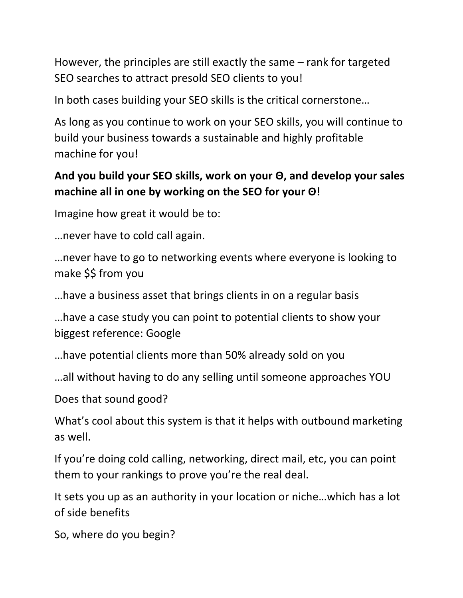However, the principles are still exactly the same – rank for targeted SEO searches to attract presold SEO clients to you!

In both cases building your SEO skills is the critical cornerstone…

As long as you continue to work on your SEO skills, you will continue to build your business towards a sustainable and highly profitable machine for you!

## **And you build your SEO skills, work on your Θ, and develop your sales machine all in one by working on the SEO for your Θ!**

Imagine how great it would be to:

…never have to cold call again.

…never have to go to networking events where everyone is looking to make \$\$ from you

…have a business asset that brings clients in on a regular basis

…have a case study you can point to potential clients to show your biggest reference: Google

…have potential clients more than 50% already sold on you

…all without having to do any selling until someone approaches YOU

Does that sound good?

What's cool about this system is that it helps with outbound marketing as well.

If you're doing cold calling, networking, direct mail, etc, you can point them to your rankings to prove you're the real deal.

It sets you up as an authority in your location or niche…which has a lot of side benefits

So, where do you begin?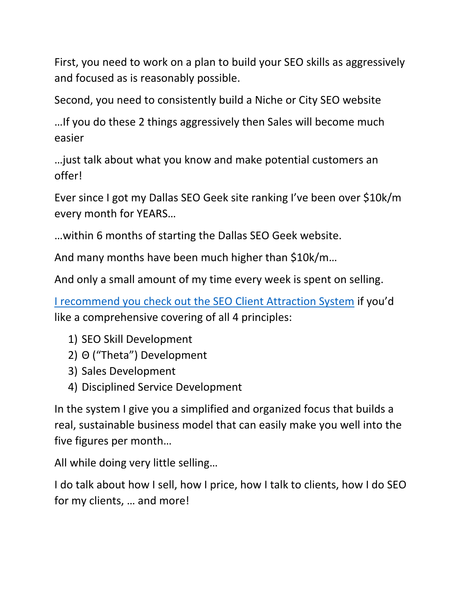First, you need to work on a plan to build your SEO skills as aggressively and focused as is reasonably possible.

Second, you need to consistently build a Niche or City SEO website

…If you do these 2 things aggressively then Sales will become much easier

…just talk about what you know and make potential customers an offer!

Ever since I got my Dallas SEO Geek site ranking I've been over \$10k/m every month for YEARS…

…within 6 months of starting the Dallas SEO Geek website.

And many months have been much higher than \$10k/m…

And only a small amount of my time every week is spent on selling.

[I recommend you check out the SEO Client Attraction System](https://digitaldominationdojo.com/seo-client-attraction-system/) if you'd like a comprehensive covering of all 4 principles:

- 1) SEO Skill Development
- 2) Θ ("Theta") Development
- 3) Sales Development
- 4) Disciplined Service Development

In the system I give you a simplified and organized focus that builds a real, sustainable business model that can easily make you well into the five figures per month…

All while doing very little selling…

I do talk about how I sell, how I price, how I talk to clients, how I do SEO for my clients, … and more!